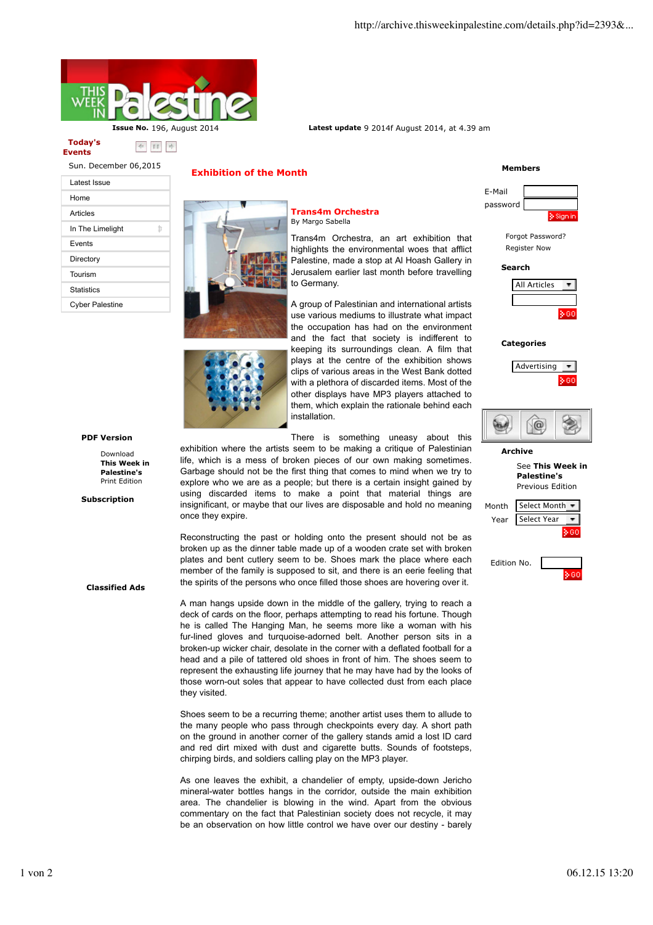

#### **Today's Events**

Sun. December 06,2015

| Latest Issue           |   |
|------------------------|---|
| Home                   |   |
| Articles               |   |
| In The Limelight       | ₩ |
| Events                 |   |
| Directory              |   |
| Tourism                |   |
| Statistics             |   |
| <b>Cyber Palestine</b> |   |

# **PDF Version**

Download **This Week in Palestine's** Print Edition

 **Subscription**

**Classified Ads**

## **Exhibition of the Month**

### **Trans4m Orchestra** By Margo Sabella

Trans4m Orchestra, an art exhibition that highlights the environmental woes that afflict Palestine, made a stop at Al Hoash Gallery in Jerusalem earlier last month before travelling to Germany.

A group of Palestinian and international artists use various mediums to illustrate what impact the occupation has had on the environment and the fact that society is indifferent to keeping its surroundings clean. A film that plays at the centre of the exhibition shows clips of various areas in the West Bank dotted with a plethora of discarded items. Most of the other displays have MP3 players attached to them, which explain the rationale behind each installation.

There is something uneasy about this

exhibition where the artists seem to be making a critique of Palestinian life, which is a mess of broken pieces of our own making sometimes. Garbage should not be the first thing that comes to mind when we try to explore who we are as a people; but there is a certain insight gained by using discarded items to make a point that material things are insignificant, or maybe that our lives are disposable and hold no meaning once they expire.

Reconstructing the past or holding onto the present should not be as broken up as the dinner table made up of a wooden crate set with broken plates and bent cutlery seem to be. Shoes mark the place where each member of the family is supposed to sit, and there is an eerie feeling that the spirits of the persons who once filled those shoes are hovering over it.

A man hangs upside down in the middle of the gallery, trying to reach a deck of cards on the floor, perhaps attempting to read his fortune. Though he is called The Hanging Man, he seems more like a woman with his fur-lined gloves and turquoise-adorned belt. Another person sits in a broken-up wicker chair, desolate in the corner with a deflated football for a head and a pile of tattered old shoes in front of him. The shoes seem to represent the exhausting life journey that he may have had by the looks of those worn-out soles that appear to have collected dust from each place they visited.

Shoes seem to be a recurring theme; another artist uses them to allude to the many people who pass through checkpoints every day. A short path on the ground in another corner of the gallery stands amid a lost ID card and red dirt mixed with dust and cigarette butts. Sounds of footsteps, chirping birds, and soldiers calling play on the MP3 player.

As one leaves the exhibit, a chandelier of empty, upside-down Jericho mineral-water bottles hangs in the corridor, outside the main exhibition area. The chandelier is blowing in the wind. Apart from the obvious commentary on the fact that Palestinian society does not recycle, it may be an observation on how little control we have over our destiny - barely

# **Members**



Forgot Password? Register Now

#### **Search**



#### **Categories**





# **Archive**

### See **This Week in Palestine's** Previous Edition

| Month | <b>Select Month</b> |  |
|-------|---------------------|--|
| Year  | Select Year         |  |
|       |                     |  |
|       |                     |  |

| Edition No. |  |
|-------------|--|
|             |  |